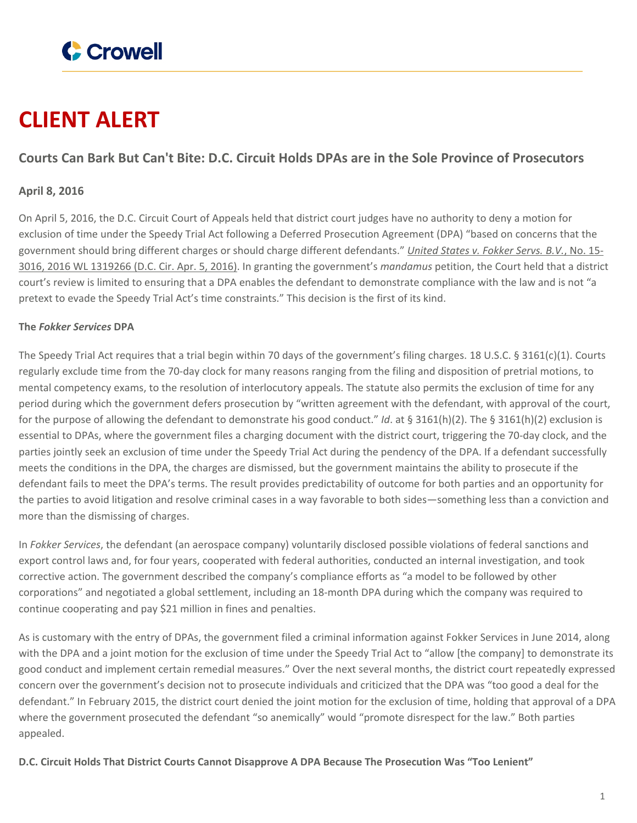

# **CLIENT ALERT**

## **Courts Can Bark But Can't Bite: D.C. Circuit Holds DPAs are in the Sole Province of Prosecutors**

### **April 8, 2016**

On April 5, 2016, the D.C. Circuit Court of Appeals held that district court judges have no authority to deny a motion for exclusion of time under the Speedy Trial Act following a Deferred Prosecution Agreement (DPA) "based on concerns that the government should bring different charges or should charge different defendants." *United States v. [Fokker](https://www.crowell.com/files/20160405-US-v-Fokker-Services.pdf) Servs. B.V.*, No. 15- 3016, 2016 WL [1319266](https://www.crowell.com/files/20160405-US-v-Fokker-Services.pdf) (D.C. Cir. Apr. 5, 2016). In granting the government's *mandamus* petition, the Court held that a district court's review is limited to ensuring that a DPA enables the defendant to demonstrate compliance with the law and is not "a pretext to evade the Speedy Trial Act's time constraints." This decision is the first of its kind.

#### **The** *Fokker Services* **DPA**

The Speedy Trial Act requires that a trial begin within 70 days of the government's filing charges. 18 U.S.C. § 3161(c)(1). Courts regularly exclude time from the 70-day clock for many reasons ranging from the filing and disposition of pretrial motions, to mental competency exams, to the resolution of interlocutory appeals. The statute also permits the exclusion of time for any period during which the government defers prosecution by "written agreement with the defendant, with approval of the court, for the purpose of allowing the defendant to demonstrate his good conduct." *Id*. at § 3161(h)(2). The § 3161(h)(2) exclusion is essential to DPAs, where the government files a charging document with the district court, triggering the 70-day clock, and the parties jointly seek an exclusion of time under the Speedy Trial Act during the pendency of the DPA. If a defendant successfully meets the conditions in the DPA, the charges are dismissed, but the government maintains the ability to prosecute if the defendant fails to meet the DPA's terms. The result provides predictability of outcome for both parties and an opportunity for the parties to avoid litigation and resolve criminal cases in a way favorable to both sides—something less than a conviction and more than the dismissing of charges.

In *Fokker Services*, the defendant (an aerospace company) voluntarily disclosed possible violations of federal sanctions and export control laws and, for four years, cooperated with federal authorities, conducted an internal investigation, and took corrective action. The government described the company's compliance efforts as "a model to be followed by other corporations" and negotiated a global settlement, including an 18-month DPA during which the company was required to continue cooperating and pay \$21 million in fines and penalties.

As is customary with the entry of DPAs, the government filed a criminal information against Fokker Services in June 2014, along with the DPA and a joint motion for the exclusion of time under the Speedy Trial Act to "allow [the company] to demonstrate its good conduct and implement certain remedial measures." Over the next several months, the district court repeatedly expressed concern over the government's decision not to prosecute individuals and criticized that the DPA was "too good a deal for the defendant." In February 2015, the district court denied the joint motion for the exclusion of time, holding that approval of a DPA where the government prosecuted the defendant "so anemically" would "promote disrespect for the law." Both parties appealed.

**D.C. Circuit Holds That District Courts Cannot Disapprove A DPA Because The Prosecution Was "Too Lenient"**